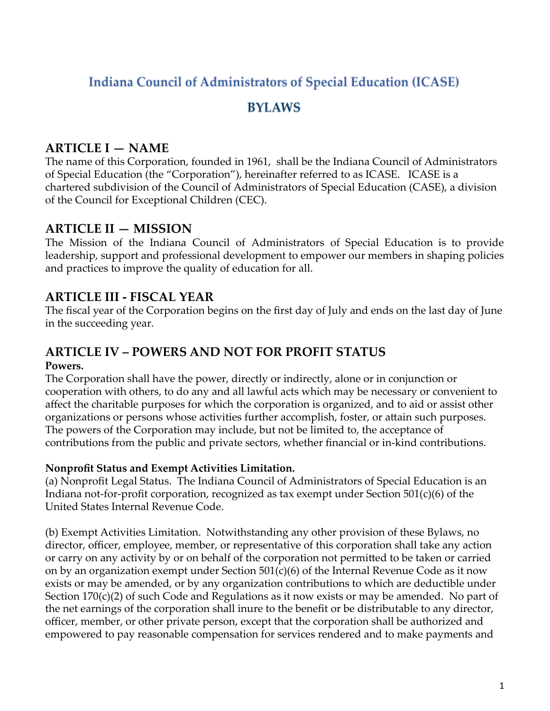# **Indiana Council of Administrators of Special Education (ICASE)**

## **BYLAWS**

## **ARTICLE I — NAME**

The name of this Corporation, founded in 1961, shall be the Indiana Council of Administrators of Special Education (the "Corporation"), hereinafter referred to as ICASE. ICASE is a chartered subdivision of the Council of Administrators of Special Education (CASE), a division of the Council for Exceptional Children (CEC).

### **ARTICLE II — MISSION**

The Mission of the Indiana Council of Administrators of Special Education is to provide leadership, support and professional development to empower our members in shaping policies and practices to improve the quality of education for all.

## **ARTICLE III - FISCAL YEAR**

The fiscal year of the Corporation begins on the first day of July and ends on the last day of June in the succeeding year.

### **ARTICLE IV – POWERS AND NOT FOR PROFIT STATUS Powers.**

The Corporation shall have the power, directly or indirectly, alone or in conjunction or cooperation with others, to do any and all lawful acts which may be necessary or convenient to affect the charitable purposes for which the corporation is organized, and to aid or assist other organizations or persons whose activities further accomplish, foster, or attain such purposes. The powers of the Corporation may include, but not be limited to, the acceptance of contributions from the public and private sectors, whether financial or in-kind contributions.

### **Nonprofit Status and Exempt Activities Limitation.**

(a) Nonprofit Legal Status. The Indiana Council of Administrators of Special Education is an Indiana not-for-profit corporation, recognized as tax exempt under Section 501(c)(6) of the United States Internal Revenue Code.

(b) Exempt Activities Limitation. Notwithstanding any other provision of these Bylaws, no director, officer, employee, member, or representative of this corporation shall take any action or carry on any activity by or on behalf of the corporation not permitted to be taken or carried on by an organization exempt under Section 501(c)(6) of the Internal Revenue Code as it now exists or may be amended, or by any organization contributions to which are deductible under Section 170(c)(2) of such Code and Regulations as it now exists or may be amended. No part of the net earnings of the corporation shall inure to the benefit or be distributable to any director, officer, member, or other private person, except that the corporation shall be authorized and empowered to pay reasonable compensation for services rendered and to make payments and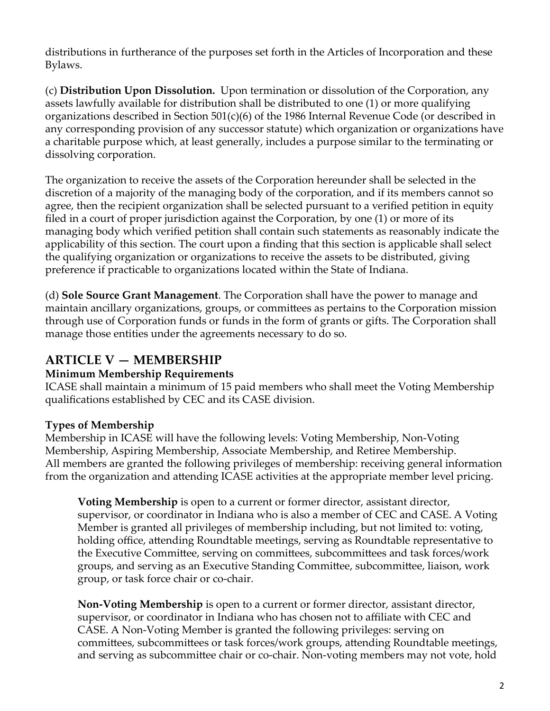distributions in furtherance of the purposes set forth in the Articles of Incorporation and these Bylaws.

(c) **Distribution Upon Dissolution.** Upon termination or dissolution of the Corporation, any assets lawfully available for distribution shall be distributed to one (1) or more qualifying organizations described in Section 501(c)(6) of the 1986 Internal Revenue Code (or described in any corresponding provision of any successor statute) which organization or organizations have a charitable purpose which, at least generally, includes a purpose similar to the terminating or dissolving corporation.

The organization to receive the assets of the Corporation hereunder shall be selected in the discretion of a majority of the managing body of the corporation, and if its members cannot so agree, then the recipient organization shall be selected pursuant to a verified petition in equity filed in a court of proper jurisdiction against the Corporation, by one (1) or more of its managing body which verified petition shall contain such statements as reasonably indicate the applicability of this section. The court upon a finding that this section is applicable shall select the qualifying organization or organizations to receive the assets to be distributed, giving preference if practicable to organizations located within the State of Indiana.

(d) **Sole Source Grant Management**. The Corporation shall have the power to manage and maintain ancillary organizations, groups, or committees as pertains to the Corporation mission through use of Corporation funds or funds in the form of grants or gifts. The Corporation shall manage those entities under the agreements necessary to do so.

### **ARTICLE V — MEMBERSHIP**

### **Minimum Membership Requirements**

ICASE shall maintain a minimum of 15 paid members who shall meet the Voting Membership qualifications established by CEC and its CASE division.

### **Types of Membership**

Membership in ICASE will have the following levels: Voting Membership, Non-Voting Membership, Aspiring Membership, Associate Membership, and Retiree Membership. All members are granted the following privileges of membership: receiving general information from the organization and attending ICASE activities at the appropriate member level pricing.

**Voting Membership** is open to a current or former director, assistant director, supervisor, or coordinator in Indiana who is also a member of CEC and CASE. A Voting Member is granted all privileges of membership including, but not limited to: voting, holding office, attending Roundtable meetings, serving as Roundtable representative to the Executive Committee, serving on committees, subcommittees and task forces/work groups, and serving as an Executive Standing Committee, subcommittee, liaison, work group, or task force chair or co-chair.

**Non-Voting Membership** is open to a current or former director, assistant director, supervisor, or coordinator in Indiana who has chosen not to affiliate with CEC and CASE. A Non-Voting Member is granted the following privileges: serving on committees, subcommittees or task forces/work groups, attending Roundtable meetings, and serving as subcommittee chair or co-chair. Non-voting members may not vote, hold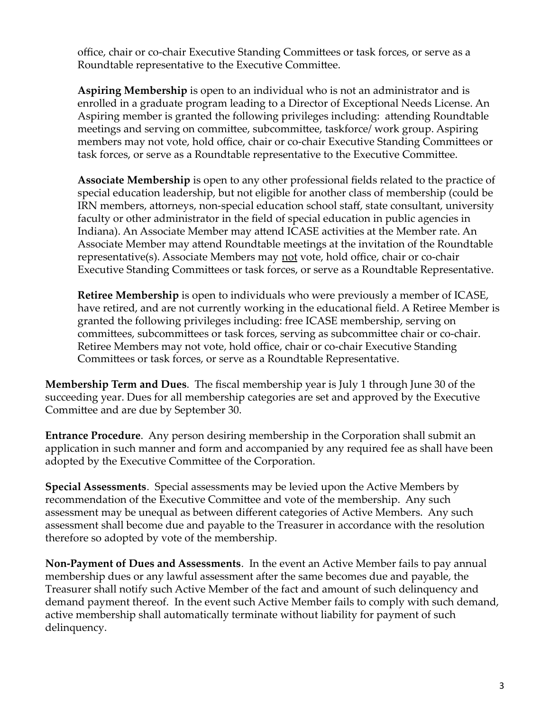office, chair or co-chair Executive Standing Committees or task forces, or serve as a Roundtable representative to the Executive Committee.

**Aspiring Membership** is open to an individual who is not an administrator and is enrolled in a graduate program leading to a Director of Exceptional Needs License. An Aspiring member is granted the following privileges including: attending Roundtable meetings and serving on committee, subcommittee, taskforce/ work group. Aspiring members may not vote, hold office, chair or co-chair Executive Standing Committees or task forces, or serve as a Roundtable representative to the Executive Committee.

**Associate Membership** is open to any other professional fields related to the practice of special education leadership, but not eligible for another class of membership (could be IRN members, attorneys, non-special education school staff, state consultant, university faculty or other administrator in the field of special education in public agencies in Indiana). An Associate Member may attend ICASE activities at the Member rate. An Associate Member may attend Roundtable meetings at the invitation of the Roundtable representative(s). Associate Members may not vote, hold office, chair or co-chair Executive Standing Committees or task forces, or serve as a Roundtable Representative.

**Retiree Membership** is open to individuals who were previously a member of ICASE, have retired, and are not currently working in the educational field. A Retiree Member is granted the following privileges including: free ICASE membership, serving on committees, subcommittees or task forces, serving as subcommittee chair or co-chair. Retiree Members may not vote, hold office, chair or co-chair Executive Standing Committees or task forces, or serve as a Roundtable Representative.

**Membership Term and Dues**. The fiscal membership year is July 1 through June 30 of the succeeding year. Dues for all membership categories are set and approved by the Executive Committee and are due by September 30.

**Entrance Procedure**. Any person desiring membership in the Corporation shall submit an application in such manner and form and accompanied by any required fee as shall have been adopted by the Executive Committee of the Corporation.

**Special Assessments**. Special assessments may be levied upon the Active Members by recommendation of the Executive Committee and vote of the membership. Any such assessment may be unequal as between different categories of Active Members. Any such assessment shall become due and payable to the Treasurer in accordance with the resolution therefore so adopted by vote of the membership.

**Non-Payment of Dues and Assessments**. In the event an Active Member fails to pay annual membership dues or any lawful assessment after the same becomes due and payable, the Treasurer shall notify such Active Member of the fact and amount of such delinquency and demand payment thereof. In the event such Active Member fails to comply with such demand, active membership shall automatically terminate without liability for payment of such delinquency.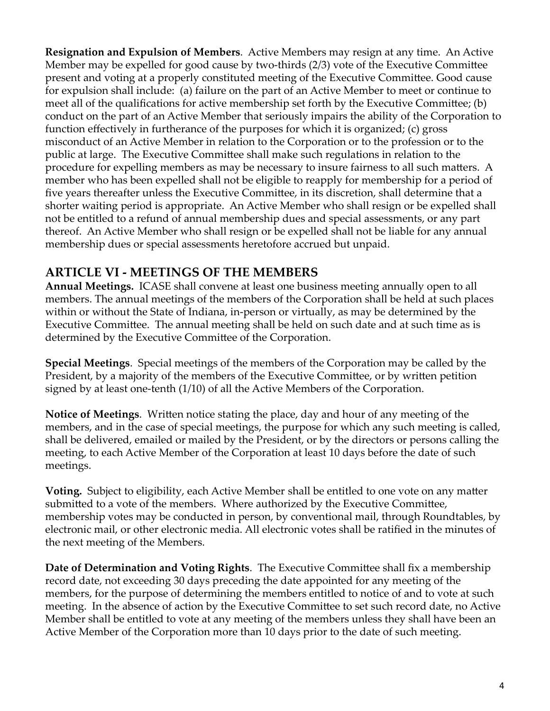**Resignation and Expulsion of Members**. Active Members may resign at any time. An Active Member may be expelled for good cause by two-thirds (2/3) vote of the Executive Committee present and voting at a properly constituted meeting of the Executive Committee. Good cause for expulsion shall include: (a) failure on the part of an Active Member to meet or continue to meet all of the qualifications for active membership set forth by the Executive Committee; (b) conduct on the part of an Active Member that seriously impairs the ability of the Corporation to function effectively in furtherance of the purposes for which it is organized; (c) gross misconduct of an Active Member in relation to the Corporation or to the profession or to the public at large. The Executive Committee shall make such regulations in relation to the procedure for expelling members as may be necessary to insure fairness to all such matters. A member who has been expelled shall not be eligible to reapply for membership for a period of five years thereafter unless the Executive Committee, in its discretion, shall determine that a shorter waiting period is appropriate. An Active Member who shall resign or be expelled shall not be entitled to a refund of annual membership dues and special assessments, or any part thereof. An Active Member who shall resign or be expelled shall not be liable for any annual membership dues or special assessments heretofore accrued but unpaid.

## **ARTICLE VI - MEETINGS OF THE MEMBERS**

**Annual Meetings.** ICASE shall convene at least one business meeting annually open to all members. The annual meetings of the members of the Corporation shall be held at such places within or without the State of Indiana, in-person or virtually, as may be determined by the Executive Committee. The annual meeting shall be held on such date and at such time as is determined by the Executive Committee of the Corporation.

**Special Meetings**. Special meetings of the members of the Corporation may be called by the President, by a majority of the members of the Executive Committee, or by written petition signed by at least one-tenth (1/10) of all the Active Members of the Corporation.

**Notice of Meetings**. Written notice stating the place, day and hour of any meeting of the members, and in the case of special meetings, the purpose for which any such meeting is called, shall be delivered, emailed or mailed by the President, or by the directors or persons calling the meeting, to each Active Member of the Corporation at least 10 days before the date of such meetings.

**Voting.** Subject to eligibility, each Active Member shall be entitled to one vote on any matter submitted to a vote of the members. Where authorized by the Executive Committee, membership votes may be conducted in person, by conventional mail, through Roundtables, by electronic mail, or other electronic media. All electronic votes shall be ratified in the minutes of the next meeting of the Members.

**Date of Determination and Voting Rights**. The Executive Committee shall fix a membership record date, not exceeding 30 days preceding the date appointed for any meeting of the members, for the purpose of determining the members entitled to notice of and to vote at such meeting. In the absence of action by the Executive Committee to set such record date, no Active Member shall be entitled to vote at any meeting of the members unless they shall have been an Active Member of the Corporation more than 10 days prior to the date of such meeting.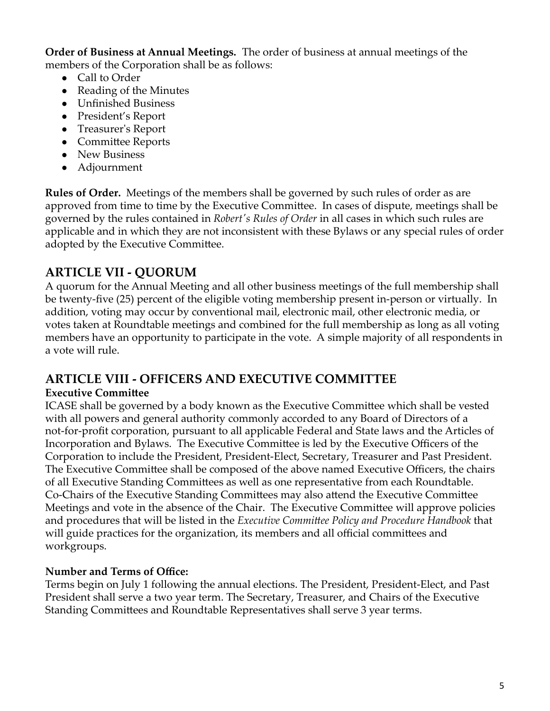**Order of Business at Annual Meetings.** The order of business at annual meetings of the members of the Corporation shall be as follows:

- Call to Order
- **●** Reading of the Minutes
- **●** Unfinished Business
- **●** President's Report
- **●** Treasurer's Report
- **●** Committee Reports
- **●** New Business
- **●** Adjournment

**Rules of Order.** Meetings of the members shall be governed by such rules of order as are approved from time to time by the Executive Committee. In cases of dispute, meetings shall be governed by the rules contained in *Robert's Rules of Order* in all cases in which such rules are applicable and in which they are not inconsistent with these Bylaws or any special rules of order adopted by the Executive Committee.

# **ARTICLE VII - QUORUM**

A quorum for the Annual Meeting and all other business meetings of the full membership shall be twenty-five (25) percent of the eligible voting membership present in-person or virtually. In addition, voting may occur by conventional mail, electronic mail, other electronic media, or votes taken at Roundtable meetings and combined for the full membership as long as all voting members have an opportunity to participate in the vote. A simple majority of all respondents in a vote will rule.

### **ARTICLE VIII - OFFICERS AND EXECUTIVE COMMITTEE**

### **Executive Committee**

ICASE shall be governed by a body known as the Executive Committee which shall be vested with all powers and general authority commonly accorded to any Board of Directors of a not-for-profit corporation, pursuant to all applicable Federal and State laws and the Articles of Incorporation and Bylaws. The Executive Committee is led by the Executive Officers of the Corporation to include the President, President-Elect, Secretary, Treasurer and Past President. The Executive Committee shall be composed of the above named Executive Officers, the chairs of all Executive Standing Committees as well as one representative from each Roundtable. Co-Chairs of the Executive Standing Committees may also attend the Executive Committee Meetings and vote in the absence of the Chair. The Executive Committee will approve policies and procedures that will be listed in the *Executive Committee Policy and Procedure Handbook* that will guide practices for the organization, its members and all official committees and workgroups.

### **Number and Terms of Office:**

Terms begin on July 1 following the annual elections. The President, President-Elect, and Past President shall serve a two year term. The Secretary, Treasurer, and Chairs of the Executive Standing Committees and Roundtable Representatives shall serve 3 year terms.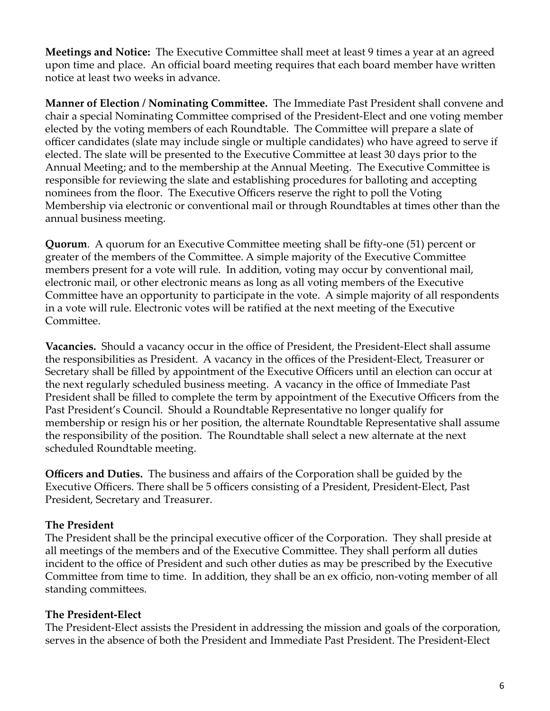**Meetings and Notice:** The Executive Committee shall meet at least 9 times a year at an agreed upon time and place. An official board meeting requires that each board member have written notice at least two weeks in advance.

**Manner of Election / Nominating Committee.** The Immediate Past President shall convene and chair a special Nominating Committee comprised of the President-Elect and one voting member elected by the voting members of each Roundtable. The Committee will prepare a slate of officer candidates (slate may include single or multiple candidates) who have agreed to serve if elected. The slate will be presented to the Executive Committee at least 30 days prior to the Annual Meeting; and to the membership at the Annual Meeting. The Executive Committee is responsible for reviewing the slate and establishing procedures for balloting and accepting nominees from the floor. The Executive Officers reserve the right to poll the Voting Membership via electronic or conventional mail or through Roundtables at times other than the annual business meeting.

**Quorum**. A quorum for an Executive Committee meeting shall be fifty-one (51) percent or greater of the members of the Committee. A simple majority of the Executive Committee members present for a vote will rule. In addition, voting may occur by conventional mail, electronic mail, or other electronic means as long as all voting members of the Executive Committee have an opportunity to participate in the vote. A simple majority of all respondents in a vote will rule. Electronic votes will be ratified at the next meeting of the Executive Committee.

**Vacancies.** Should a vacancy occur in the office of President, the President-Elect shall assume the responsibilities as President. A vacancy in the offices of the President-Elect, Treasurer or Secretary shall be filled by appointment of the Executive Officers until an election can occur at the next regularly scheduled business meeting. A vacancy in the office of Immediate Past President shall be filled to complete the term by appointment of the Executive Officers from the Past President's Council. Should a Roundtable Representative no longer qualify for membership or resign his or her position, the alternate Roundtable Representative shall assume the responsibility of the position. The Roundtable shall select a new alternate at the next scheduled Roundtable meeting.

**Officers and Duties.** The business and affairs of the Corporation shall be guided by the Executive Officers. There shall be 5 officers consisting of a President, President-Elect, Past President, Secretary and Treasurer.

#### **The President**

The President shall be the principal executive officer of the Corporation. They shall preside at all meetings of the members and of the Executive Committee. They shall perform all duties incident to the office of President and such other duties as may be prescribed by the Executive Committee from time to time. In addition, they shall be an ex officio, non-voting member of all standing committees.

#### **The President-Elect**

The President-Elect assists the President in addressing the mission and goals of the corporation, serves in the absence of both the President and Immediate Past President. The President-Elect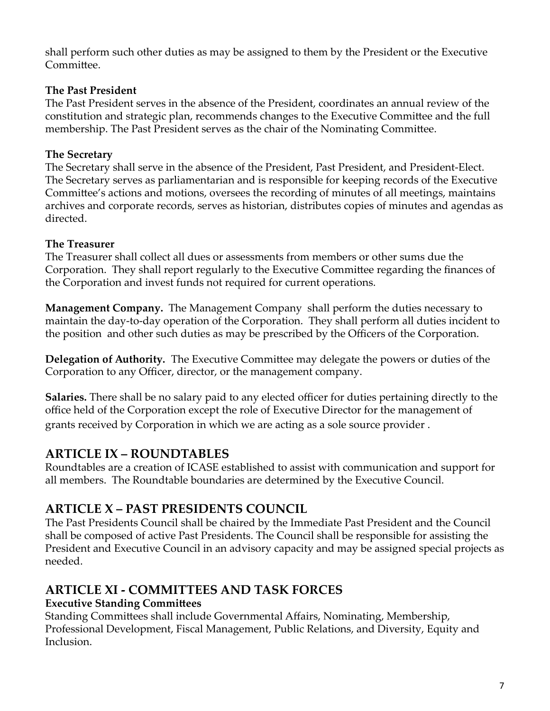shall perform such other duties as may be assigned to them by the President or the Executive Committee.

#### **The Past President**

The Past President serves in the absence of the President, coordinates an annual review of the constitution and strategic plan, recommends changes to the Executive Committee and the full membership. The Past President serves as the chair of the Nominating Committee.

#### **The Secretary**

The Secretary shall serve in the absence of the President, Past President, and President-Elect. The Secretary serves as parliamentarian and is responsible for keeping records of the Executive Committee's actions and motions, oversees the recording of minutes of all meetings, maintains archives and corporate records, serves as historian, distributes copies of minutes and agendas as directed.

### **The Treasurer**

The Treasurer shall collect all dues or assessments from members or other sums due the Corporation. They shall report regularly to the Executive Committee regarding the finances of the Corporation and invest funds not required for current operations.

**Management Company.** The Management Company shall perform the duties necessary to maintain the day-to-day operation of the Corporation. They shall perform all duties incident to the position and other such duties as may be prescribed by the Officers of the Corporation.

**Delegation of Authority.** The Executive Committee may delegate the powers or duties of the Corporation to any Officer, director, or the management company.

**Salaries.** There shall be no salary paid to any elected officer for duties pertaining directly to the office held of the Corporation except the role of Executive Director for the management of grants received by Corporation in which we are acting as a sole source provider .

### **ARTICLE IX – ROUNDTABLES**

Roundtables are a creation of ICASE established to assist with communication and support for all members. The Roundtable boundaries are determined by the Executive Council.

### **ARTICLE X – PAST PRESIDENTS COUNCIL**

The Past Presidents Council shall be chaired by the Immediate Past President and the Council shall be composed of active Past Presidents. The Council shall be responsible for assisting the President and Executive Council in an advisory capacity and may be assigned special projects as needed.

### **ARTICLE XI - COMMITTEES AND TASK FORCES**

### **Executive Standing Committees**

Standing Committees shall include Governmental Affairs, Nominating, Membership, Professional Development, Fiscal Management, Public Relations, and Diversity, Equity and Inclusion.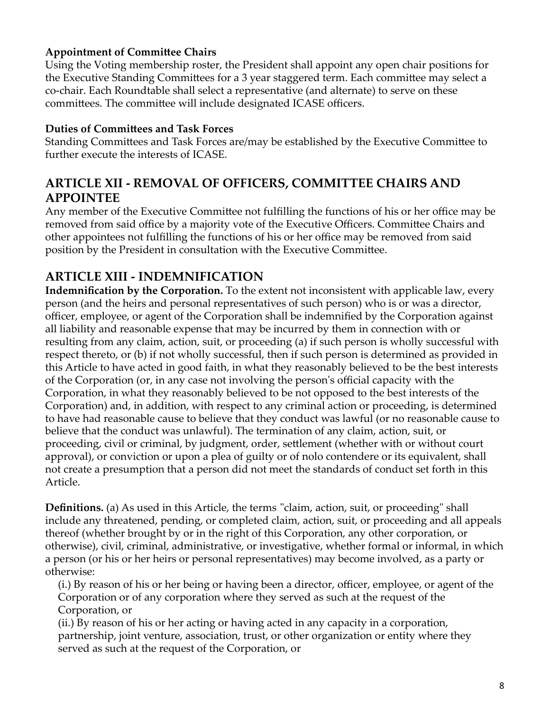#### **Appointment of Committee Chairs**

Using the Voting membership roster, the President shall appoint any open chair positions for the Executive Standing Committees for a 3 year staggered term. Each committee may select a co-chair. Each Roundtable shall select a representative (and alternate) to serve on these committees. The committee will include designated ICASE officers.

#### **Duties of Committees and Task Forces**

Standing Committees and Task Forces are/may be established by the Executive Committee to further execute the interests of ICASE.

### **ARTICLE XII - REMOVAL OF OFFICERS, COMMITTEE CHAIRS AND APPOINTEE**

Any member of the Executive Committee not fulfilling the functions of his or her office may be removed from said office by a majority vote of the Executive Officers. Committee Chairs and other appointees not fulfilling the functions of his or her office may be removed from said position by the President in consultation with the Executive Committee.

### **ARTICLE XIII - INDEMNIFICATION**

**Indemnification by the Corporation.** To the extent not inconsistent with applicable law, every person (and the heirs and personal representatives of such person) who is or was a director, officer, employee, or agent of the Corporation shall be indemnified by the Corporation against all liability and reasonable expense that may be incurred by them in connection with or resulting from any claim, action, suit, or proceeding (a) if such person is wholly successful with respect thereto, or (b) if not wholly successful, then if such person is determined as provided in this Article to have acted in good faith, in what they reasonably believed to be the best interests of the Corporation (or, in any case not involving the person's official capacity with the Corporation, in what they reasonably believed to be not opposed to the best interests of the Corporation) and, in addition, with respect to any criminal action or proceeding, is determined to have had reasonable cause to believe that they conduct was lawful (or no reasonable cause to believe that the conduct was unlawful). The termination of any claim, action, suit, or proceeding, civil or criminal, by judgment, order, settlement (whether with or without court approval), or conviction or upon a plea of guilty or of nolo contendere or its equivalent, shall not create a presumption that a person did not meet the standards of conduct set forth in this Article.

**Definitions.** (a) As used in this Article, the terms "claim, action, suit, or proceeding" shall include any threatened, pending, or completed claim, action, suit, or proceeding and all appeals thereof (whether brought by or in the right of this Corporation, any other corporation, or otherwise), civil, criminal, administrative, or investigative, whether formal or informal, in which a person (or his or her heirs or personal representatives) may become involved, as a party or otherwise:

(i.) By reason of his or her being or having been a director, officer, employee, or agent of the Corporation or of any corporation where they served as such at the request of the Corporation, or

(ii.) By reason of his or her acting or having acted in any capacity in a corporation, partnership, joint venture, association, trust, or other organization or entity where they served as such at the request of the Corporation, or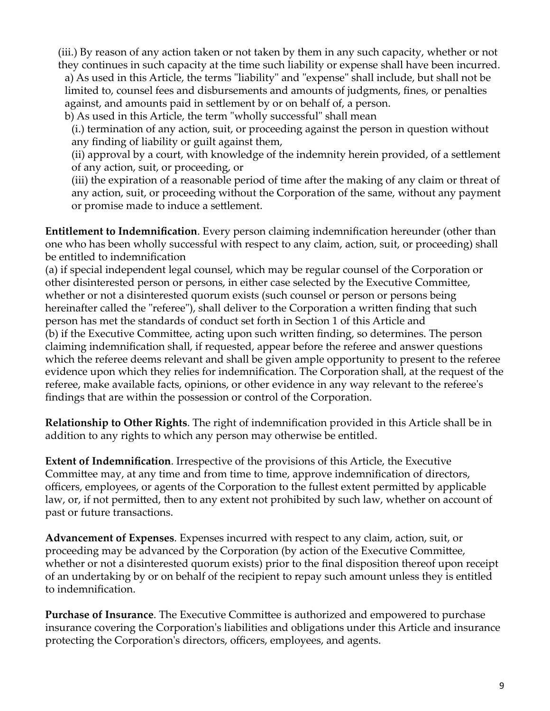(iii.) By reason of any action taken or not taken by them in any such capacity, whether or not they continues in such capacity at the time such liability or expense shall have been incurred.

a) As used in this Article, the terms "liability" and "expense" shall include, but shall not be limited to, counsel fees and disbursements and amounts of judgments, fines, or penalties against, and amounts paid in settlement by or on behalf of, a person.

b) As used in this Article, the term "wholly successful" shall mean

(i.) termination of any action, suit, or proceeding against the person in question without any finding of liability or guilt against them,

(ii) approval by a court, with knowledge of the indemnity herein provided, of a settlement of any action, suit, or proceeding, or

(iii) the expiration of a reasonable period of time after the making of any claim or threat of any action, suit, or proceeding without the Corporation of the same, without any payment or promise made to induce a settlement.

**Entitlement to Indemnification**. Every person claiming indemnification hereunder (other than one who has been wholly successful with respect to any claim, action, suit, or proceeding) shall be entitled to indemnification

(a) if special independent legal counsel, which may be regular counsel of the Corporation or other disinterested person or persons, in either case selected by the Executive Committee, whether or not a disinterested quorum exists (such counsel or person or persons being hereinafter called the "referee"), shall deliver to the Corporation a written finding that such person has met the standards of conduct set forth in Section 1 of this Article and (b) if the Executive Committee, acting upon such written finding, so determines. The person claiming indemnification shall, if requested, appear before the referee and answer questions which the referee deems relevant and shall be given ample opportunity to present to the referee evidence upon which they relies for indemnification. The Corporation shall, at the request of the referee, make available facts, opinions, or other evidence in any way relevant to the referee's findings that are within the possession or control of the Corporation.

**Relationship to Other Rights**. The right of indemnification provided in this Article shall be in addition to any rights to which any person may otherwise be entitled.

**Extent of Indemnification**. Irrespective of the provisions of this Article, the Executive Committee may, at any time and from time to time, approve indemnification of directors, officers, employees, or agents of the Corporation to the fullest extent permitted by applicable law, or, if not permitted, then to any extent not prohibited by such law, whether on account of past or future transactions.

**Advancement of Expenses**. Expenses incurred with respect to any claim, action, suit, or proceeding may be advanced by the Corporation (by action of the Executive Committee, whether or not a disinterested quorum exists) prior to the final disposition thereof upon receipt of an undertaking by or on behalf of the recipient to repay such amount unless they is entitled to indemnification.

**Purchase of Insurance**. The Executive Committee is authorized and empowered to purchase insurance covering the Corporation's liabilities and obligations under this Article and insurance protecting the Corporation's directors, officers, employees, and agents.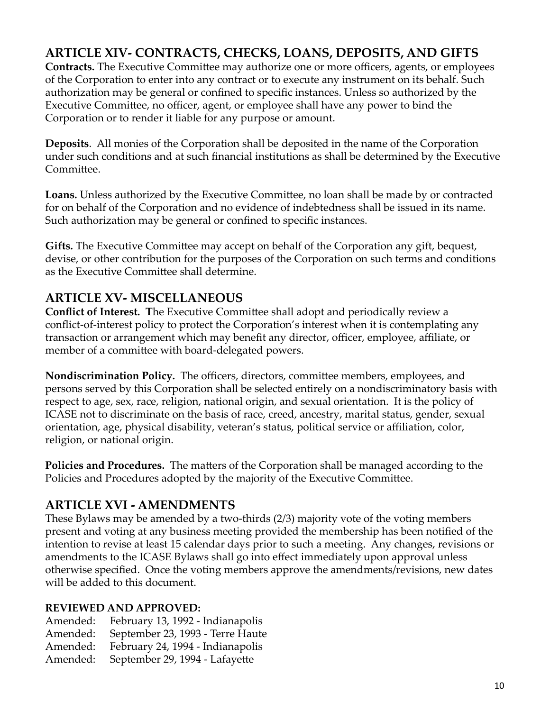# **ARTICLE XIV- CONTRACTS, CHECKS, LOANS, DEPOSITS, AND GIFTS**

**Contracts.** The Executive Committee may authorize one or more officers, agents, or employees of the Corporation to enter into any contract or to execute any instrument on its behalf. Such authorization may be general or confined to specific instances. Unless so authorized by the Executive Committee, no officer, agent, or employee shall have any power to bind the Corporation or to render it liable for any purpose or amount.

**Deposits**. All monies of the Corporation shall be deposited in the name of the Corporation under such conditions and at such financial institutions as shall be determined by the Executive Committee.

**Loans.** Unless authorized by the Executive Committee, no loan shall be made by or contracted for on behalf of the Corporation and no evidence of indebtedness shall be issued in its name. Such authorization may be general or confined to specific instances.

**Gifts.** The Executive Committee may accept on behalf of the Corporation any gift, bequest, devise, or other contribution for the purposes of the Corporation on such terms and conditions as the Executive Committee shall determine.

### **ARTICLE XV- MISCELLANEOUS**

**Conflict of Interest. T**he Executive Committee shall adopt and periodically review a conflict-of-interest policy to protect the Corporation's interest when it is contemplating any transaction or arrangement which may benefit any director, officer, employee, affiliate, or member of a committee with board-delegated powers.

**Nondiscrimination Policy.** The officers, directors, committee members, employees, and persons served by this Corporation shall be selected entirely on a nondiscriminatory basis with respect to age, sex, race, religion, national origin, and sexual orientation. It is the policy of ICASE not to discriminate on the basis of race, creed, ancestry, marital status, gender, sexual orientation, age, physical disability, veteran's status, political service or affiliation, color, religion, or national origin.

**Policies and Procedures.** The matters of the Corporation shall be managed according to the Policies and Procedures adopted by the majority of the Executive Committee.

### **ARTICLE XVI - AMENDMENTS**

These Bylaws may be amended by a two-thirds (2/3) majority vote of the voting members present and voting at any business meeting provided the membership has been notified of the intention to revise at least 15 calendar days prior to such a meeting. Any changes, revisions or amendments to the ICASE Bylaws shall go into effect immediately upon approval unless otherwise specified. Once the voting members approve the amendments/revisions, new dates will be added to this document.

### **REVIEWED AND APPROVED:**

Amended: February 13, 1992 - Indianapolis Amended: September 23, 1993 - Terre Haute Amended: February 24, 1994 - Indianapolis Amended: September 29, 1994 - Lafayette